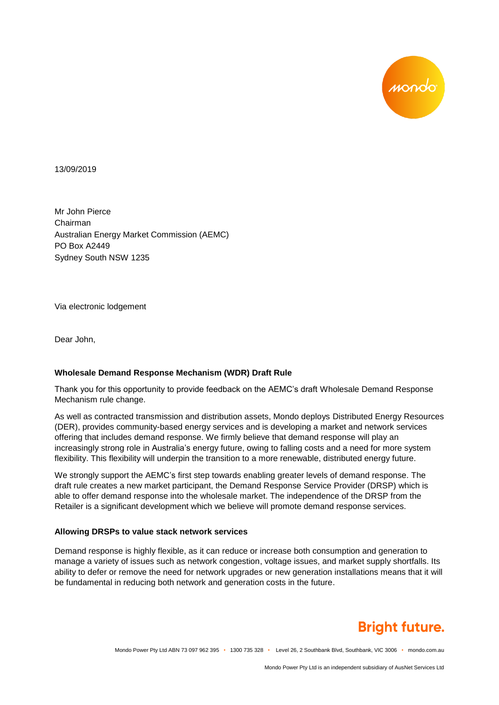

13/09/2019

Mr John Pierce Chairman Australian Energy Market Commission (AEMC) PO Box A2449 Sydney South NSW 1235

Via electronic lodgement

Dear John,

#### **Wholesale Demand Response Mechanism (WDR) Draft Rule**

Thank you for this opportunity to provide feedback on the AEMC's draft Wholesale Demand Response Mechanism rule change.

As well as contracted transmission and distribution assets, Mondo deploys Distributed Energy Resources (DER), provides community-based energy services and is developing a market and network services offering that includes demand response. We firmly believe that demand response will play an increasingly strong role in Australia's energy future, owing to falling costs and a need for more system flexibility. This flexibility will underpin the transition to a more renewable, distributed energy future.

We strongly support the AEMC's first step towards enabling greater levels of demand response. The draft rule creates a new market participant, the Demand Response Service Provider (DRSP) which is able to offer demand response into the wholesale market. The independence of the DRSP from the Retailer is a significant development which we believe will promote demand response services.

#### **Allowing DRSPs to value stack network services**

Demand response is highly flexible, as it can reduce or increase both consumption and generation to manage a variety of issues such as network congestion, voltage issues, and market supply shortfalls. Its ability to defer or remove the need for network upgrades or new generation installations means that it will be fundamental in reducing both network and generation costs in the future.

# **Bright future.**

Mondo Power Pty Ltd ABN 73 097 962 395 • 1300 735 328 • Level 26, 2 Southbank Blvd, Southbank, VIC 3006 • mondo.com.au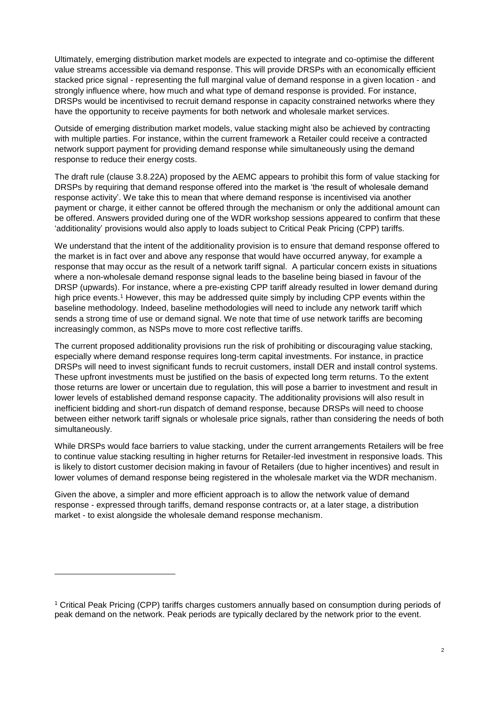Ultimately, emerging distribution market models are expected to integrate and co-optimise the different value streams accessible via demand response. This will provide DRSPs with an economically efficient stacked price signal - representing the full marginal value of demand response in a given location - and strongly influence where, how much and what type of demand response is provided. For instance, DRSPs would be incentivised to recruit demand response in capacity constrained networks where they have the opportunity to receive payments for both network and wholesale market services.

Outside of emerging distribution market models, value stacking might also be achieved by contracting with multiple parties. For instance, within the current framework a Retailer could receive a contracted network support payment for providing demand response while simultaneously using the demand response to reduce their energy costs.

The draft rule (clause 3.8.22A) proposed by the AEMC appears to prohibit this form of value stacking for DRSPs by requiring that demand response offered into the market is 'the result of wholesale demand response activity'. We take this to mean that where demand response is incentivised via another payment or charge, it either cannot be offered through the mechanism or only the additional amount can be offered. Answers provided during one of the WDR workshop sessions appeared to confirm that these 'additionality' provisions would also apply to loads subject to Critical Peak Pricing (CPP) tariffs.

We understand that the intent of the additionality provision is to ensure that demand response offered to the market is in fact over and above any response that would have occurred anyway, for example a response that may occur as the result of a network tariff signal. A particular concern exists in situations where a non-wholesale demand response signal leads to the baseline being biased in favour of the DRSP (upwards). For instance, where a pre-existing CPP tariff already resulted in lower demand during high price events.<sup>1</sup> However, this may be addressed quite simply by including CPP events within the baseline methodology. Indeed, baseline methodologies will need to include any network tariff which sends a strong time of use or demand signal. We note that time of use network tariffs are becoming increasingly common, as NSPs move to more cost reflective tariffs.

The current proposed additionality provisions run the risk of prohibiting or discouraging value stacking, especially where demand response requires long-term capital investments. For instance, in practice DRSPs will need to invest significant funds to recruit customers, install DER and install control systems. These upfront investments must be justified on the basis of expected long term returns. To the extent those returns are lower or uncertain due to regulation, this will pose a barrier to investment and result in lower levels of established demand response capacity. The additionality provisions will also result in inefficient bidding and short-run dispatch of demand response, because DRSPs will need to choose between either network tariff signals or wholesale price signals, rather than considering the needs of both simultaneously.

While DRSPs would face barriers to value stacking, under the current arrangements Retailers will be free to continue value stacking resulting in higher returns for Retailer-led investment in responsive loads. This is likely to distort customer decision making in favour of Retailers (due to higher incentives) and result in lower volumes of demand response being registered in the wholesale market via the WDR mechanism.

Given the above, a simpler and more efficient approach is to allow the network value of demand response - expressed through tariffs, demand response contracts or, at a later stage, a distribution market - to exist alongside the wholesale demand response mechanism.

l

<sup>1</sup> Critical Peak Pricing (CPP) tariffs charges customers annually based on consumption during periods of peak demand on the network. Peak periods are typically declared by the network prior to the event.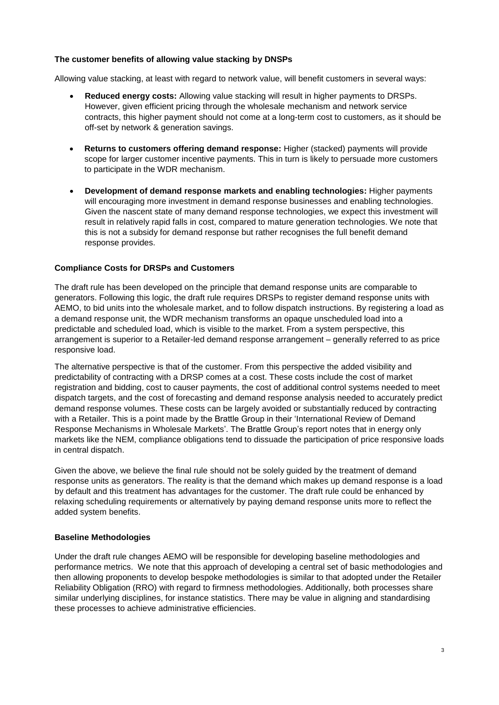### **The customer benefits of allowing value stacking by DNSPs**

Allowing value stacking, at least with regard to network value, will benefit customers in several ways:

- **Reduced energy costs:** Allowing value stacking will result in higher payments to DRSPs. However, given efficient pricing through the wholesale mechanism and network service contracts, this higher payment should not come at a long-term cost to customers, as it should be off-set by network & generation savings.
- **Returns to customers offering demand response:** Higher (stacked) payments will provide scope for larger customer incentive payments. This in turn is likely to persuade more customers to participate in the WDR mechanism.
- **Development of demand response markets and enabling technologies:** Higher payments will encouraging more investment in demand response businesses and enabling technologies. Given the nascent state of many demand response technologies, we expect this investment will result in relatively rapid falls in cost, compared to mature generation technologies. We note that this is not a subsidy for demand response but rather recognises the full benefit demand response provides.

## **Compliance Costs for DRSPs and Customers**

The draft rule has been developed on the principle that demand response units are comparable to generators. Following this logic, the draft rule requires DRSPs to register demand response units with AEMO, to bid units into the wholesale market, and to follow dispatch instructions. By registering a load as a demand response unit, the WDR mechanism transforms an opaque unscheduled load into a predictable and scheduled load, which is visible to the market. From a system perspective, this arrangement is superior to a Retailer-led demand response arrangement – generally referred to as price responsive load.

The alternative perspective is that of the customer. From this perspective the added visibility and predictability of contracting with a DRSP comes at a cost. These costs include the cost of market registration and bidding, cost to causer payments, the cost of additional control systems needed to meet dispatch targets, and the cost of forecasting and demand response analysis needed to accurately predict demand response volumes. These costs can be largely avoided or substantially reduced by contracting with a Retailer. This is a point made by the Brattle Group in their 'International Review of Demand Response Mechanisms in Wholesale Markets'. The Brattle Group's report notes that in energy only markets like the NEM, compliance obligations tend to dissuade the participation of price responsive loads in central dispatch.

Given the above, we believe the final rule should not be solely guided by the treatment of demand response units as generators. The reality is that the demand which makes up demand response is a load by default and this treatment has advantages for the customer. The draft rule could be enhanced by relaxing scheduling requirements or alternatively by paying demand response units more to reflect the added system benefits.

#### **Baseline Methodologies**

Under the draft rule changes AEMO will be responsible for developing baseline methodologies and performance metrics. We note that this approach of developing a central set of basic methodologies and then allowing proponents to develop bespoke methodologies is similar to that adopted under the Retailer Reliability Obligation (RRO) with regard to firmness methodologies. Additionally, both processes share similar underlying disciplines, for instance statistics. There may be value in aligning and standardising these processes to achieve administrative efficiencies.